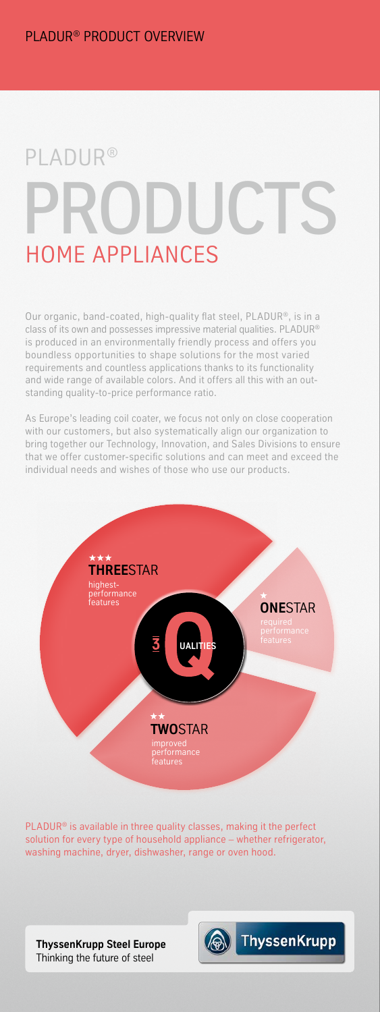## PRODUCTS PLADUR® HOME APPLIANCES

Our organic, band-coated, high-quality flat steel, PLADUR®, is in a class of its own and possesses impressive material qualities. PLADUR® is produced in an environmentally friendly process and offers you boundless opportunities to shape solutions for the most varied requirements and countless applications thanks to its functionality and wide range of available colors. And it offers all this with an outstanding quality-to-price performance ratio.

As Europe's leading coil coater, we focus not only on close cooperation with our customers, but also systematically align our organization to bring together our Technology, Innovation, and Sales Divisions to ensure that we offer customer-specific solutions and can meet and exceed the individual needs and wishes of those who use our products.



PLADUR® is available in three quality classes, making it the perfect solution for every type of household appliance – whether refrigerator, washing machine, dryer, dishwasher, range or oven hood.

**ThyssenKrupp Steel Europe** Thinking the future of steel

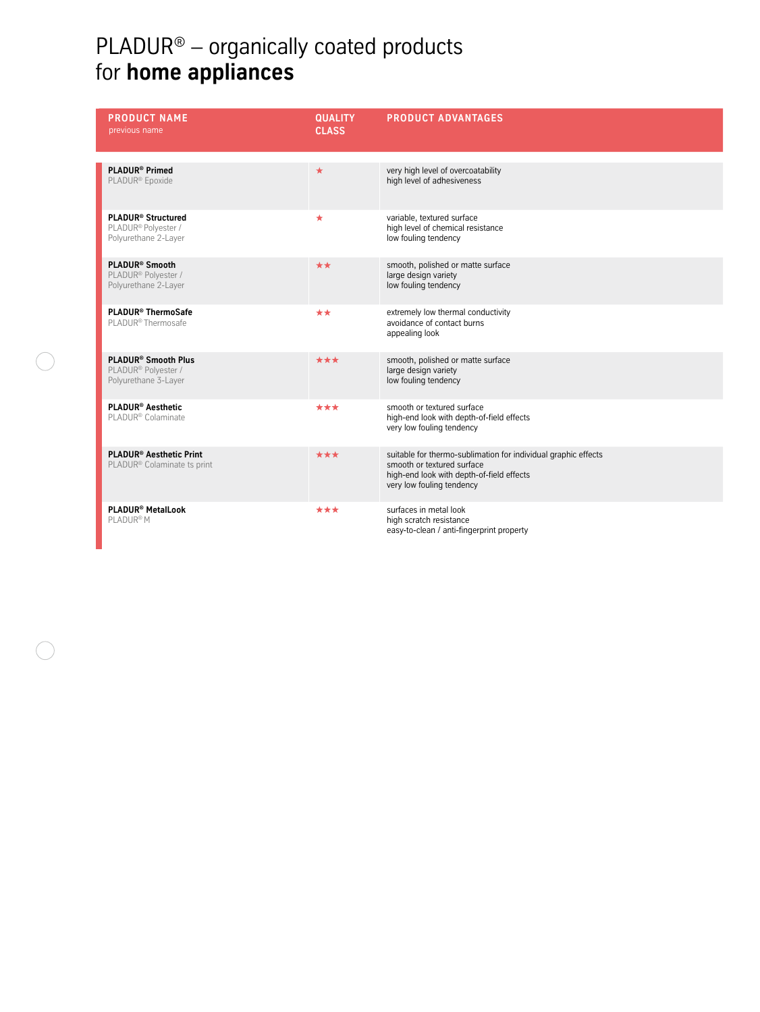## PLADUR®  $-$  organically coated products for **home appliances**

| <b>PRODUCT NAME</b><br>previous name                                                       | <b>QUALITY</b><br><b>CLASS</b> | <b>PRODUCT ADVANTAGES</b>                                                                                                                                              |
|--------------------------------------------------------------------------------------------|--------------------------------|------------------------------------------------------------------------------------------------------------------------------------------------------------------------|
| <b>PLADUR<sup>®</sup> Primed</b><br>PLADUR <sup>®</sup> Epoxide                            | $\star$                        | very high level of overcoatability<br>high level of adhesiveness                                                                                                       |
| <b>PLADUR® Structured</b><br>PLADUR® Polyester /<br>Polyurethane 2-Layer                   | $\star$                        | variable, textured surface<br>high level of chemical resistance<br>low fouling tendency                                                                                |
| PLADUR <sup>®</sup> Smooth<br>PLADUR <sup>®</sup> Polyester /<br>Polyurethane 2-Layer      | **                             | smooth, polished or matte surface<br>large design variety<br>low fouling tendency                                                                                      |
| PLADUR® ThermoSafe<br>PLADUR® Thermosafe                                                   | **                             | extremely low thermal conductivity<br>avoidance of contact burns<br>appealing look                                                                                     |
| PLADUR <sup>®</sup> Smooth Plus<br>PLADUR <sup>®</sup> Polyester /<br>Polyurethane 3-Layer | ***                            | smooth, polished or matte surface<br>large design variety<br>low fouling tendency                                                                                      |
| <b>PLADUR® Aesthetic</b><br>PLADUR® Colaminate                                             | ***                            | smooth or textured surface<br>high-end look with depth-of-field effects<br>very low fouling tendency                                                                   |
| <b>PLADUR<sup>®</sup> Aesthetic Print</b><br>PLADUR <sup>®</sup> Colaminate ts print       | ***                            | suitable for thermo-sublimation for individual graphic effects<br>smooth or textured surface<br>high-end look with depth-of-field effects<br>very low fouling tendency |
| PLADUR <sup>®</sup> MetalLook<br>PLADUR <sup>®</sup> M                                     | ***                            | surfaces in metal look<br>high scratch resistance<br>easy-to-clean / anti-fingerprint property                                                                         |